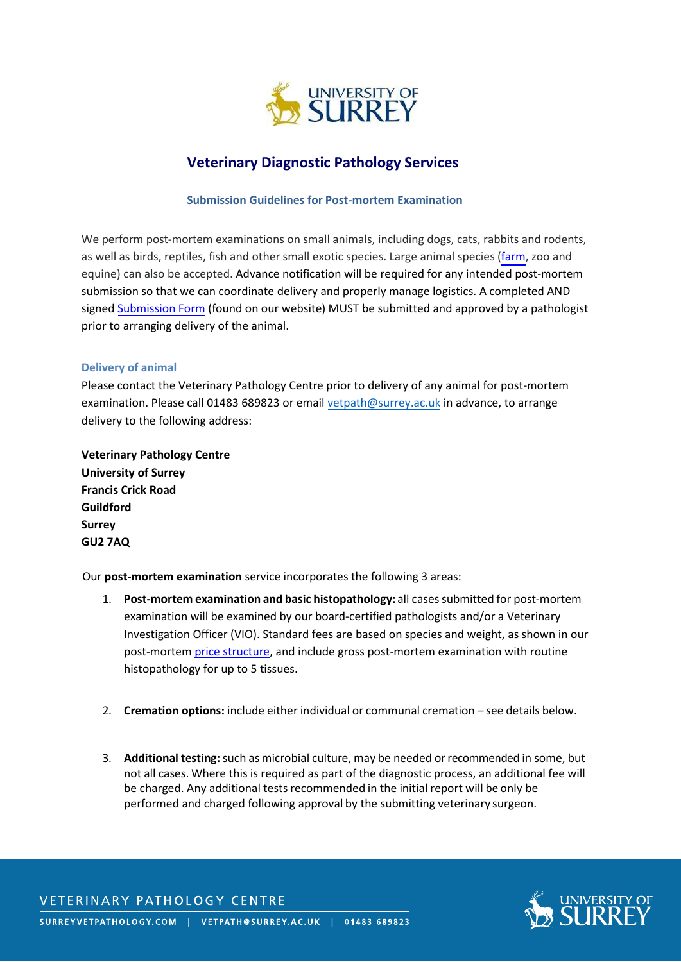

# **Veterinary Diagnostic Pathology Services**

#### **Submission Guidelines for Post-mortem Examination**

We perform post-mortem examinations on small animals, including dogs, cats, rabbits and rodents, as well as birds, reptiles, fish and other small exotic species. Large animal species [\(farm,](http://www.surreyvetpathology.com/pathology-services/surveillance-services) zoo and equine) can also be accepted. Advance notification will be required for any intended post-mortem submission so that we can coordinate delivery and properly manage logistics. A completed AND signed [Submission Form](http://www.surreyvetpathology.com/sites/default/files/documents/Private%20PM%20Submission%20Form%202020_2.pdf) (found on our website) MUST be submitted and approved by a pathologist prior to arranging delivery of the animal.

#### **Delivery of animal**

Please contact the Veterinary Pathology Centre prior to delivery of any animal for post-mortem examination. Please call 01483 689823 or email [vetpath@surrey.ac.uk](mailto:vetpath@surrey.ac.uk) in advance, to arrange delivery to the following address:

**Veterinary Pathology Centre University of Surrey Francis Crick Road Guildford Surrey GU2 7AQ**

Our **post-mortem examination** service incorporates the following 3 areas:

- 1. **Post-mortem examination and basic histopathology:** all casessubmitted for post-mortem examination will be examined by our board-certified pathologists and/or a Veterinary Investigation Officer (VIO). Standard fees are based on species and weight, as shown in our post-mortem [price structure,](http://www.surreyvetpathology.com/sites/default/files/documents/Post%20Mortem%20Examination%20Prices%20October%202021.pdf) and include gross post-mortem examination with routine histopathology for up to 5 tissues.
- 2. **Cremation options:** include either individual or communal cremation see details below.
- 3. **Additional testing:** such as microbial culture, may be needed or recommended in some, but not all cases. Where this is required as part of the diagnostic process, an additional fee will be charged. Any additional tests recommended in the initial report will be only be performed and charged following approval by the submitting veterinary surgeon.



# **VETERINARY PATHOLOGY CENTRE**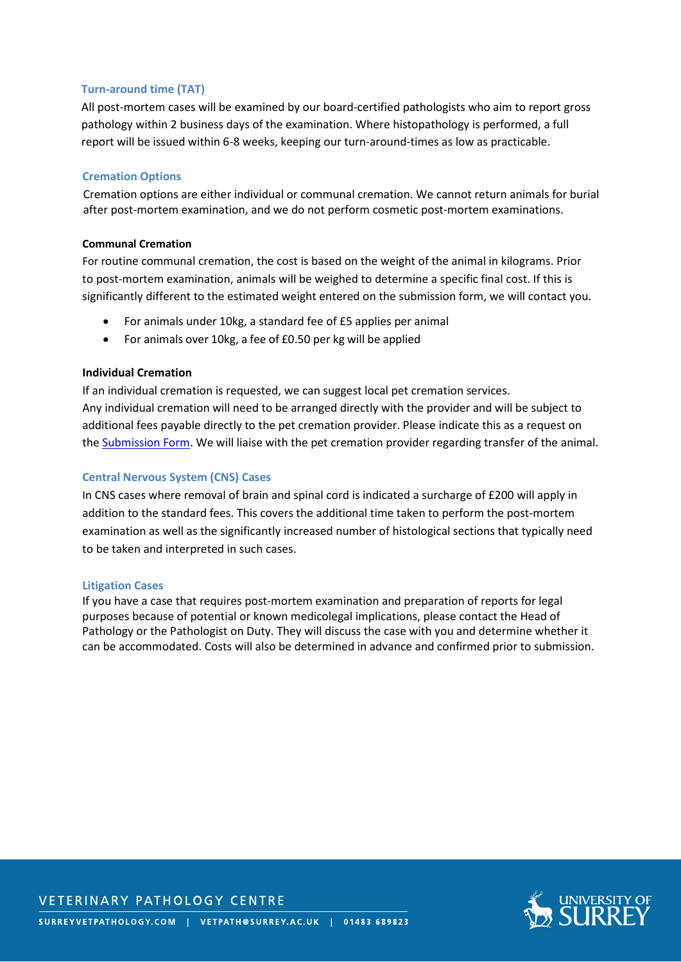# **Turn-around time (TAT)**

All post-mortem cases will be examined by our board-certified pathologists who aim to report gross pathology within 2 business days of the examination. Where histopathology is performed, a full report will be issued within 6-8 weeks, keeping our turn-around-times as low as practicable.

# **Cremation Options**

Cremation options are either individual or communal cremation. We cannot return animals for burial after post-mortem examination, and we do not perform cosmetic post-mortem examinations.

## **Communal Cremation**

For routine communal cremation, the cost is based on the weight of the animal in kilograms. Prior to post-mortem examination, animals will be weighed to determine a specific final cost. If this is significantly different to the estimated weight entered on the submission form, we will contact you.

- For animals under 10kg, a standard fee of £5 applies per animal
- For animals over 10kg, a fee of £0.50 per kg will be applied

# **Individual Cremation**

If an individual cremation is requested, we can suggest local pet cremation services. Any individual cremation will need to be arranged directly with the provider and will be subject to additional fees payable directly to the pet cremation provider. Please indicate this as a request on the [Submission Form.](http://www.surreyvetpathology.com/sites/default/files/documents/Private%20PM%20Submission%20Form%202020_2.pdf) We will liaise with the pet cremation provider regarding transfer of the animal.

# **Central Nervous System (CNS) Cases**

In CNS cases where removal of brain and spinal cord is indicated a surcharge of £200 will apply in addition to the standard fees. This covers the additional time taken to perform the post-mortem examination as well as the significantly increased number of histological sections that typically need to be taken and interpreted in such cases.

# **Litigation Cases**

If you have a case that requires post-mortem examination and preparation of reports for legal purposes because of potential or known medicolegal implications, please contact the Head of Pathology or the Pathologist on Duty. They will discuss the case with you and determine whether it can be accommodated. Costs will also be determined in advance and confirmed prior to submission.



**VETERINARY PATHOLOGY CENTRE**